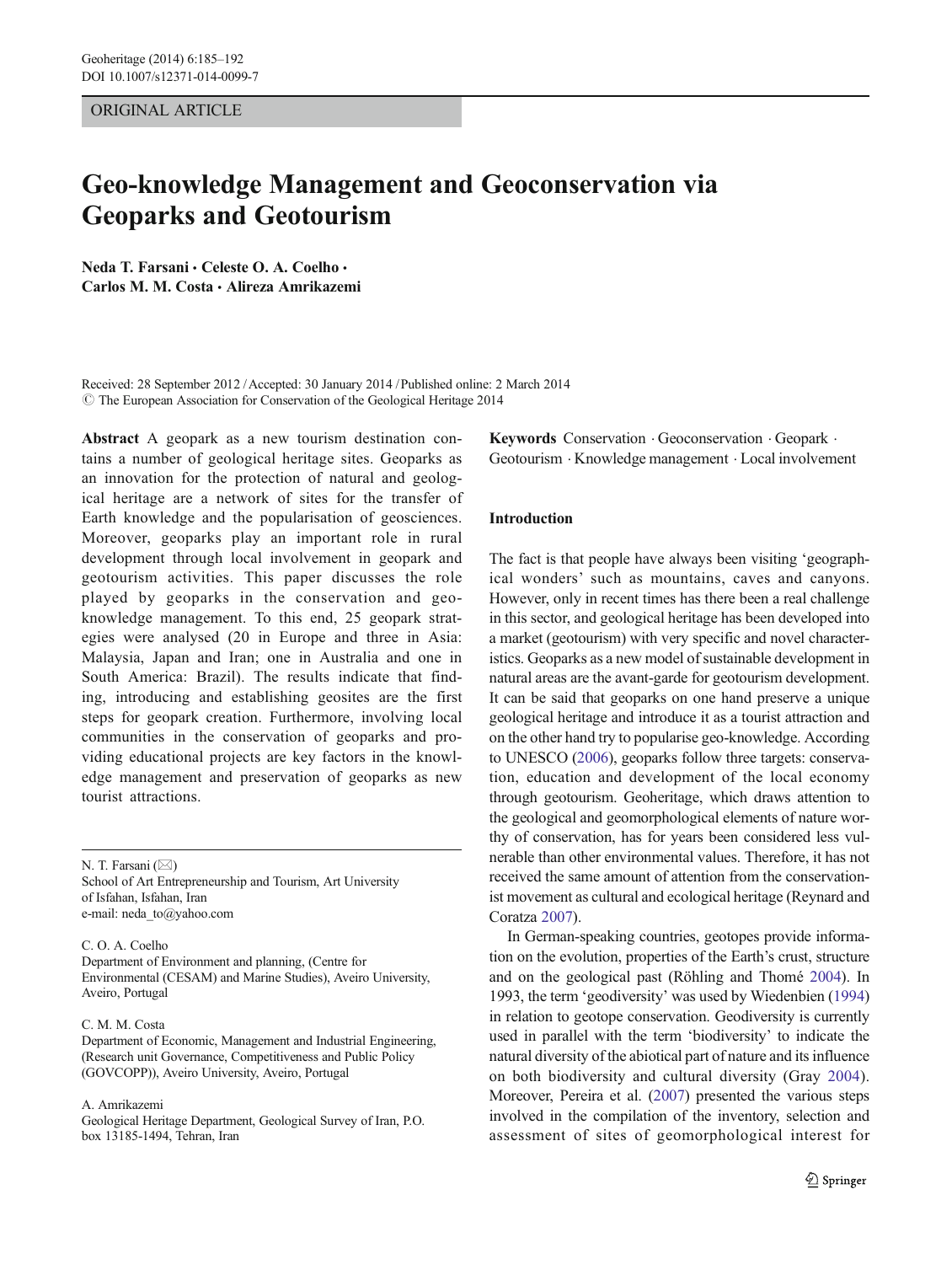ORIGINAL ARTICLE

# Geo-knowledge Management and Geoconservation via Geoparks and Geotourism

Neda T. Farsani · Celeste O. A. Coelho · Carlos M. M. Costa · Alireza Amrikazemi

Received: 28 September 2012 /Accepted: 30 January 2014 /Published online: 2 March 2014  $\circ$  The European Association for Conservation of the Geological Heritage 2014

Abstract A geopark as a new tourism destination contains a number of geological heritage sites. Geoparks as an innovation for the protection of natural and geological heritage are a network of sites for the transfer of Earth knowledge and the popularisation of geosciences. Moreover, geoparks play an important role in rural development through local involvement in geopark and geotourism activities. This paper discusses the role played by geoparks in the conservation and geoknowledge management. To this end, 25 geopark strategies were analysed (20 in Europe and three in Asia: Malaysia, Japan and Iran; one in Australia and one in South America: Brazil). The results indicate that finding, introducing and establishing geosites are the first steps for geopark creation. Furthermore, involving local communities in the conservation of geoparks and providing educational projects are key factors in the knowledge management and preservation of geoparks as new tourist attractions.

N. T. Farsani  $(\boxtimes)$ School of Art Entrepreneurship and Tourism, Art University of Isfahan, Isfahan, Iran e-mail: neda\_to@yahoo.com

## C. O. A. Coelho

Department of Environment and planning, (Centre for Environmental (CESAM) and Marine Studies), Aveiro University, Aveiro, Portugal

## C. M. M. Costa

Department of Economic, Management and Industrial Engineering, (Research unit Governance, Competitiveness and Public Policy (GOVCOPP)), Aveiro University, Aveiro, Portugal

#### A. Amrikazemi

Geological Heritage Department, Geological Survey of Iran, P.O. box 13185-1494, Tehran, Iran

Keywords Conservation . Geoconservation . Geopark . Geotourism . Knowledge management . Local involvement

## Introduction

The fact is that people have always been visiting 'geographical wonders' such as mountains, caves and canyons. However, only in recent times has there been a real challenge in this sector, and geological heritage has been developed into a market (geotourism) with very specific and novel characteristics. Geoparks as a new model of sustainable development in natural areas are the avant-garde for geotourism development. It can be said that geoparks on one hand preserve a unique geological heritage and introduce it as a tourist attraction and on the other hand try to popularise geo-knowledge. According to UNESCO [\(2006\)](#page-7-0), geoparks follow three targets: conservation, education and development of the local economy through geotourism. Geoheritage, which draws attention to the geological and geomorphological elements of nature worthy of conservation, has for years been considered less vulnerable than other environmental values. Therefore, it has not received the same amount of attention from the conservationist movement as cultural and ecological heritage (Reynard and Coratza [2007](#page-7-0)).

In German-speaking countries, geotopes provide information on the evolution, properties of the Earth's crust, structure and on the geological past (Röhling and Thomé [2004](#page-7-0)). In 1993, the term 'geodiversity' was used by Wiedenbien [\(1994](#page-7-0)) in relation to geotope conservation. Geodiversity is currently used in parallel with the term 'biodiversity' to indicate the natural diversity of the abiotical part of nature and its influence on both biodiversity and cultural diversity (Gray [2004](#page-6-0)). Moreover, Pereira et al. [\(2007](#page-7-0)) presented the various steps involved in the compilation of the inventory, selection and assessment of sites of geomorphological interest for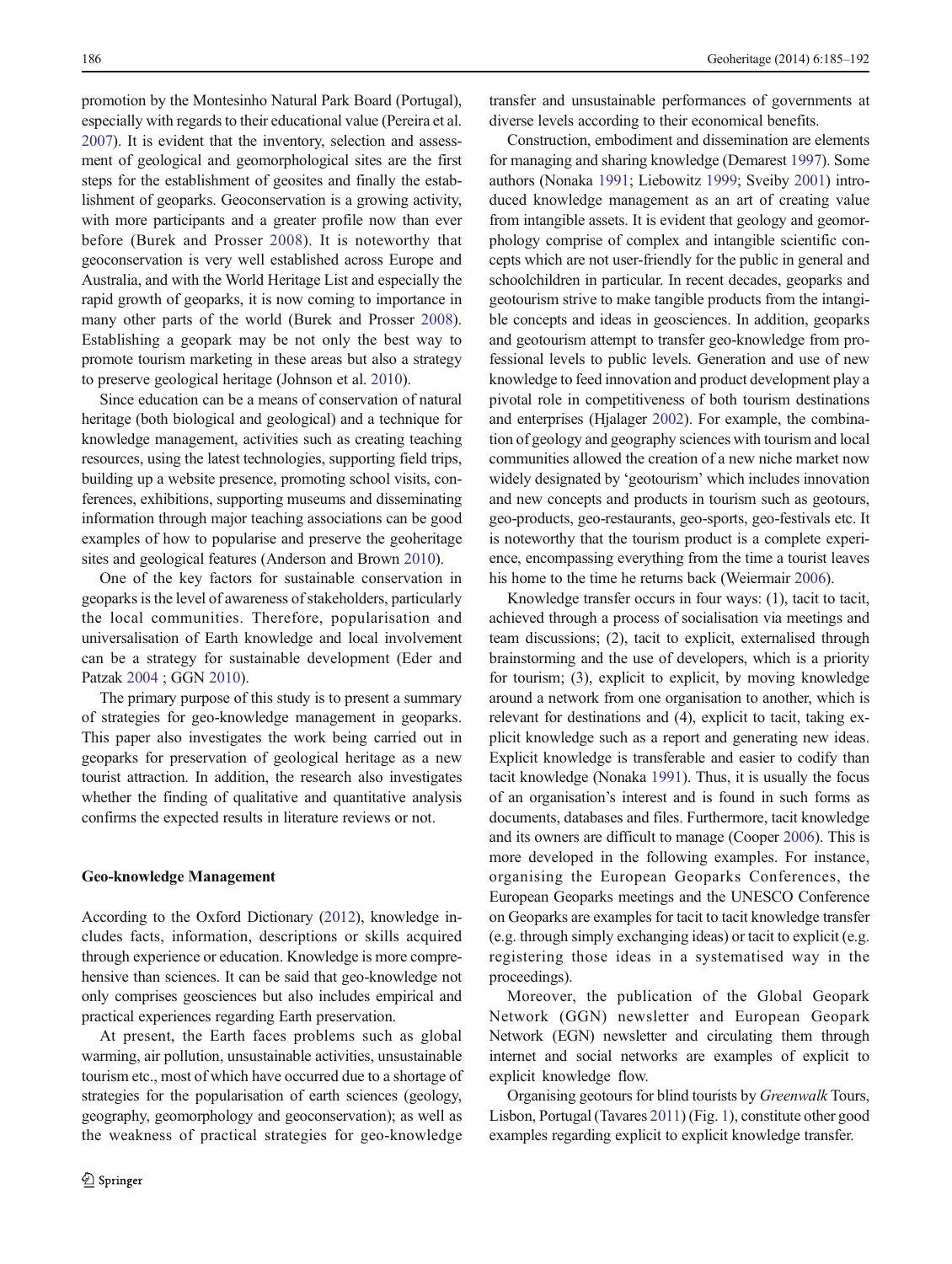promotion by the Montesinho Natural Park Board (Portugal), especially with regards to their educational value (Pereira et al. [2007\)](#page-7-0). It is evident that the inventory, selection and assessment of geological and geomorphological sites are the first steps for the establishment of geosites and finally the establishment of geoparks. Geoconservation is a growing activity, with more participants and a greater profile now than ever before (Burek and Prosser [2008\)](#page-6-0). It is noteworthy that geoconservation is very well established across Europe and Australia, and with the World Heritage List and especially the rapid growth of geoparks, it is now coming to importance in many other parts of the world (Burek and Prosser [2008](#page-6-0)). Establishing a geopark may be not only the best way to promote tourism marketing in these areas but also a strategy to preserve geological heritage (Johnson et al. [2010\)](#page-7-0).

Since education can be a means of conservation of natural heritage (both biological and geological) and a technique for knowledge management, activities such as creating teaching resources, using the latest technologies, supporting field trips, building up a website presence, promoting school visits, conferences, exhibitions, supporting museums and disseminating information through major teaching associations can be good examples of how to popularise and preserve the geoheritage sites and geological features (Anderson and Brown [2010](#page-6-0)).

One of the key factors for sustainable conservation in geoparks is the level of awareness of stakeholders, particularly the local communities. Therefore, popularisation and universalisation of Earth knowledge and local involvement can be a strategy for sustainable development (Eder and Patzak [2004](#page-6-0) ; GGN [2010](#page-6-0)).

The primary purpose of this study is to present a summary of strategies for geo-knowledge management in geoparks. This paper also investigates the work being carried out in geoparks for preservation of geological heritage as a new tourist attraction. In addition, the research also investigates whether the finding of qualitative and quantitative analysis confirms the expected results in literature reviews or not.

## Geo-knowledge Management

According to the Oxford Dictionary ([2012](#page-7-0)), knowledge includes facts, information, descriptions or skills acquired through experience or education. Knowledge is more comprehensive than sciences. It can be said that geo-knowledge not only comprises geosciences but also includes empirical and practical experiences regarding Earth preservation.

At present, the Earth faces problems such as global warming, air pollution, unsustainable activities, unsustainable tourism etc., most of which have occurred due to a shortage of strategies for the popularisation of earth sciences (geology, geography, geomorphology and geoconservation); as well as the weakness of practical strategies for geo-knowledge

transfer and unsustainable performances of governments at diverse levels according to their economical benefits.

Construction, embodiment and dissemination are elements for managing and sharing knowledge (Demarest [1997](#page-6-0)). Some authors (Nonaka [1991;](#page-7-0) Liebowitz [1999](#page-7-0); Sveiby [2001\)](#page-7-0) introduced knowledge management as an art of creating value from intangible assets. It is evident that geology and geomorphology comprise of complex and intangible scientific concepts which are not user-friendly for the public in general and schoolchildren in particular. In recent decades, geoparks and geotourism strive to make tangible products from the intangible concepts and ideas in geosciences. In addition, geoparks and geotourism attempt to transfer geo-knowledge from professional levels to public levels. Generation and use of new knowledge to feed innovation and product development play a pivotal role in competitiveness of both tourism destinations and enterprises (Hjalager [2002\)](#page-7-0). For example, the combination of geology and geography sciences with tourism and local communities allowed the creation of a new niche market now widely designated by 'geotourism' which includes innovation and new concepts and products in tourism such as geotours, geo-products, geo-restaurants, geo-sports, geo-festivals etc. It is noteworthy that the tourism product is a complete experience, encompassing everything from the time a tourist leaves his home to the time he returns back (Weiermair [2006\)](#page-7-0).

Knowledge transfer occurs in four ways: (1), tacit to tacit, achieved through a process of socialisation via meetings and team discussions; (2), tacit to explicit, externalised through brainstorming and the use of developers, which is a priority for tourism; (3), explicit to explicit, by moving knowledge around a network from one organisation to another, which is relevant for destinations and (4), explicit to tacit, taking explicit knowledge such as a report and generating new ideas. Explicit knowledge is transferable and easier to codify than tacit knowledge (Nonaka [1991\)](#page-7-0). Thus, it is usually the focus of an organisation's interest and is found in such forms as documents, databases and files. Furthermore, tacit knowledge and its owners are difficult to manage (Cooper [2006\)](#page-6-0). This is more developed in the following examples. For instance, organising the European Geoparks Conferences, the European Geoparks meetings and the UNESCO Conference on Geoparks are examples for tacit to tacit knowledge transfer (e.g. through simply exchanging ideas) or tacit to explicit (e.g. registering those ideas in a systematised way in the proceedings).

Moreover, the publication of the Global Geopark Network (GGN) newsletter and European Geopark Network (EGN) newsletter and circulating them through internet and social networks are examples of explicit to explicit knowledge flow.

Organising geotours for blind tourists by Greenwalk Tours, Lisbon, Portugal (Tavares [2011](#page-7-0)) (Fig. [1](#page-2-0)), constitute other good examples regarding explicit to explicit knowledge transfer.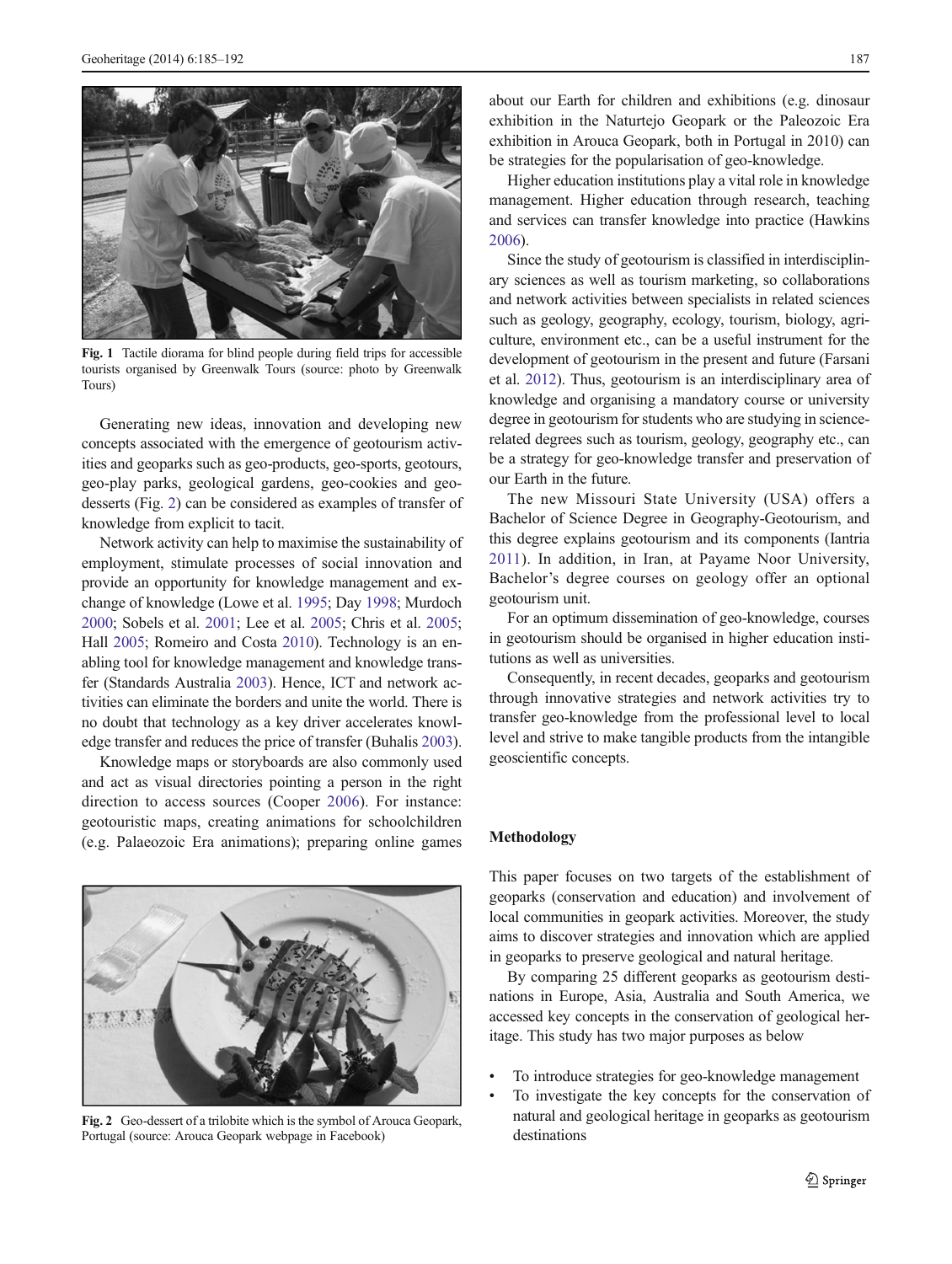<span id="page-2-0"></span>

Fig. 1 Tactile diorama for blind people during field trips for accessible tourists organised by Greenwalk Tours (source: photo by Greenwalk Tours)

Generating new ideas, innovation and developing new concepts associated with the emergence of geotourism activities and geoparks such as geo-products, geo-sports, geotours, geo-play parks, geological gardens, geo-cookies and geodesserts (Fig. 2) can be considered as examples of transfer of knowledge from explicit to tacit.

Network activity can help to maximise the sustainability of employment, stimulate processes of social innovation and provide an opportunity for knowledge management and exchange of knowledge (Lowe et al. [1995;](#page-7-0) Day [1998](#page-6-0); Murdoch [2000;](#page-7-0) Sobels et al. [2001;](#page-7-0) Lee et al. [2005;](#page-7-0) Chris et al. [2005](#page-6-0); Hall [2005;](#page-6-0) Romeiro and Costa [2010](#page-7-0)). Technology is an enabling tool for knowledge management and knowledge transfer (Standards Australia [2003](#page-7-0)). Hence, ICT and network activities can eliminate the borders and unite the world. There is no doubt that technology as a key driver accelerates knowledge transfer and reduces the price of transfer (Buhalis [2003\)](#page-6-0).

Knowledge maps or storyboards are also commonly used and act as visual directories pointing a person in the right direction to access sources (Cooper [2006](#page-6-0)). For instance: geotouristic maps, creating animations for schoolchildren (e.g. Palaeozoic Era animations); preparing online games



Fig. 2 Geo-dessert of a trilobite which is the symbol of Arouca Geopark, Portugal (source: Arouca Geopark webpage in Facebook)

about our Earth for children and exhibitions (e.g. dinosaur exhibition in the Naturtejo Geopark or the Paleozoic Era exhibition in Arouca Geopark, both in Portugal in 2010) can be strategies for the popularisation of geo-knowledge.

Higher education institutions play a vital role in knowledge management. Higher education through research, teaching and services can transfer knowledge into practice (Hawkins [2006\)](#page-6-0).

Since the study of geotourism is classified in interdisciplinary sciences as well as tourism marketing, so collaborations and network activities between specialists in related sciences such as geology, geography, ecology, tourism, biology, agriculture, environment etc., can be a useful instrument for the development of geotourism in the present and future (Farsani et al. [2012](#page-6-0)). Thus, geotourism is an interdisciplinary area of knowledge and organising a mandatory course or university degree in geotourism for students who are studying in sciencerelated degrees such as tourism, geology, geography etc., can be a strategy for geo-knowledge transfer and preservation of our Earth in the future.

The new Missouri State University (USA) offers a Bachelor of Science Degree in Geography-Geotourism, and this degree explains geotourism and its components (Iantria [2011](#page-7-0)). In addition, in Iran, at Payame Noor University, Bachelor's degree courses on geology offer an optional geotourism unit.

For an optimum dissemination of geo-knowledge, courses in geotourism should be organised in higher education institutions as well as universities.

Consequently, in recent decades, geoparks and geotourism through innovative strategies and network activities try to transfer geo-knowledge from the professional level to local level and strive to make tangible products from the intangible geoscientific concepts.

## Methodology

This paper focuses on two targets of the establishment of geoparks (conservation and education) and involvement of local communities in geopark activities. Moreover, the study aims to discover strategies and innovation which are applied in geoparks to preserve geological and natural heritage.

By comparing 25 different geoparks as geotourism destinations in Europe, Asia, Australia and South America, we accessed key concepts in the conservation of geological heritage. This study has two major purposes as below

- To introduce strategies for geo-knowledge management
- To investigate the key concepts for the conservation of natural and geological heritage in geoparks as geotourism destinations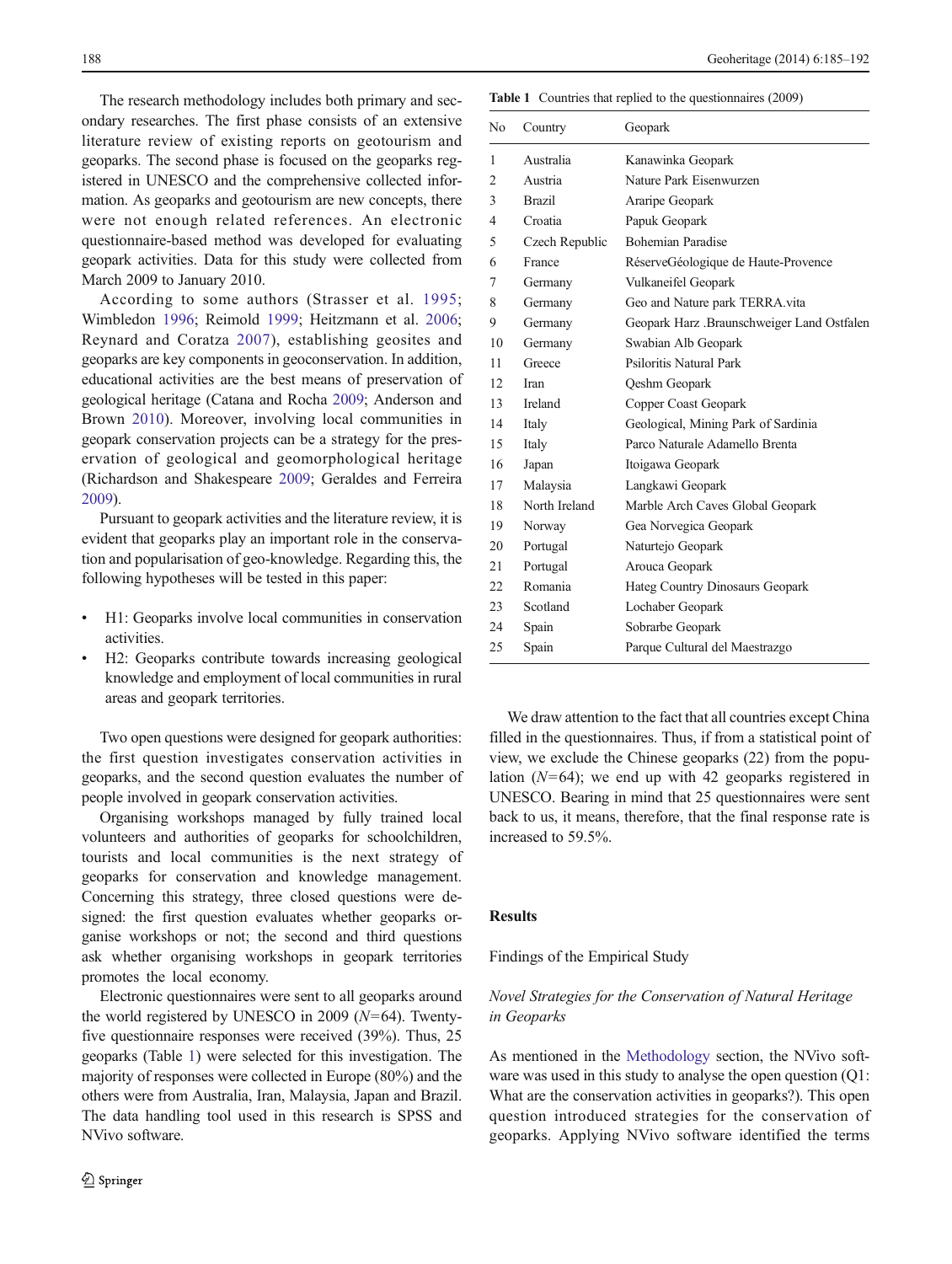The research methodology includes both primary and secondary researches. The first phase consists of an extensive literature review of existing reports on geotourism and geoparks. The second phase is focused on the geoparks registered in UNESCO and the comprehensive collected information. As geoparks and geotourism are new concepts, there were not enough related references. An electronic questionnaire-based method was developed for evaluating geopark activities. Data for this study were collected from March 2009 to January 2010.

According to some authors (Strasser et al. [1995](#page-7-0); Wimbledon [1996;](#page-7-0) Reimold [1999;](#page-7-0) Heitzmann et al. [2006](#page-7-0); Reynard and Coratza [2007](#page-7-0)), establishing geosites and geoparks are key components in geoconservation. In addition, educational activities are the best means of preservation of geological heritage (Catana and Rocha [2009;](#page-6-0) Anderson and Brown [2010\)](#page-6-0). Moreover, involving local communities in geopark conservation projects can be a strategy for the preservation of geological and geomorphological heritage (Richardson and Shakespeare [2009](#page-7-0); Geraldes and Ferreira [2009\)](#page-6-0).

Pursuant to geopark activities and the literature review, it is evident that geoparks play an important role in the conservation and popularisation of geo-knowledge. Regarding this, the following hypotheses will be tested in this paper:

- & H1: Geoparks involve local communities in conservation activities.
- H2: Geoparks contribute towards increasing geological knowledge and employment of local communities in rural areas and geopark territories.

Two open questions were designed for geopark authorities: the first question investigates conservation activities in geoparks, and the second question evaluates the number of people involved in geopark conservation activities.

Organising workshops managed by fully trained local volunteers and authorities of geoparks for schoolchildren, tourists and local communities is the next strategy of geoparks for conservation and knowledge management. Concerning this strategy, three closed questions were designed: the first question evaluates whether geoparks organise workshops or not; the second and third questions ask whether organising workshops in geopark territories promotes the local economy.

Electronic questionnaires were sent to all geoparks around the world registered by UNESCO in 2009 ( $N=64$ ). Twentyfive questionnaire responses were received (39%). Thus, 25 geoparks (Table 1) were selected for this investigation. The majority of responses were collected in Europe (80%) and the others were from Australia, Iran, Malaysia, Japan and Brazil. The data handling tool used in this research is SPSS and NVivo software.

Table 1 Countries that replied to the questionnaires (2009)

| N <sub>0</sub> | Country        | Geopark                                    |
|----------------|----------------|--------------------------------------------|
| 1              | Australia      | Kanawinka Geopark                          |
| $\overline{c}$ | Austria        | Nature Park Eisenwurzen                    |
| 3              | <b>Brazil</b>  | Araripe Geopark                            |
| 4              | Croatia        | Papuk Geopark                              |
| 5              | Czech Republic | <b>Bohemian Paradise</b>                   |
| 6              | France         | RéserveGéologique de Haute-Provence        |
| 7              | Germany        | Vulkaneifel Geopark                        |
| 8              | Germany        | Geo and Nature park TERRA.vita             |
| 9              | Germany        | Geopark Harz .Braunschweiger Land Ostfalen |
| 10             | Germany        | Swabian Alb Geopark                        |
| 11             | Greece         | Psiloritis Natural Park                    |
| 12             | Iran           | Qeshm Geopark                              |
| 13             | <b>Ireland</b> | Copper Coast Geopark                       |
| 14             | Italy          | Geological, Mining Park of Sardinia        |
| 15             | Italy          | Parco Naturale Adamello Brenta             |
| 16             | Japan          | Itoigawa Geopark                           |
| 17             | Malaysia       | Langkawi Geopark                           |
| 18             | North Ireland  | Marble Arch Caves Global Geopark           |
| 19             | Norway         | Gea Norvegica Geopark                      |
| 20             | Portugal       | Naturtejo Geopark                          |
| 21             | Portugal       | Arouca Geopark                             |
| 22             | Romania        | Hateg Country Dinosaurs Geopark            |
| 23             | Scotland       | Lochaber Geopark                           |
| 24             | Spain          | Sobrarbe Geopark                           |
| 25             | Spain          | Parque Cultural del Maestrazgo             |

We draw attention to the fact that all countries except China filled in the questionnaires. Thus, if from a statistical point of view, we exclude the Chinese geoparks (22) from the population  $(N=64)$ ; we end up with 42 geoparks registered in UNESCO. Bearing in mind that 25 questionnaires were sent back to us, it means, therefore, that the final response rate is increased to 59.5%.

# Results

Findings of the Empirical Study

# Novel Strategies for the Conservation of Natural Heritage in Geoparks

As mentioned in the [Methodology](#page-2-0) section, the NVivo software was used in this study to analyse the open question (Q1: What are the conservation activities in geoparks?). This open question introduced strategies for the conservation of geoparks. Applying NVivo software identified the terms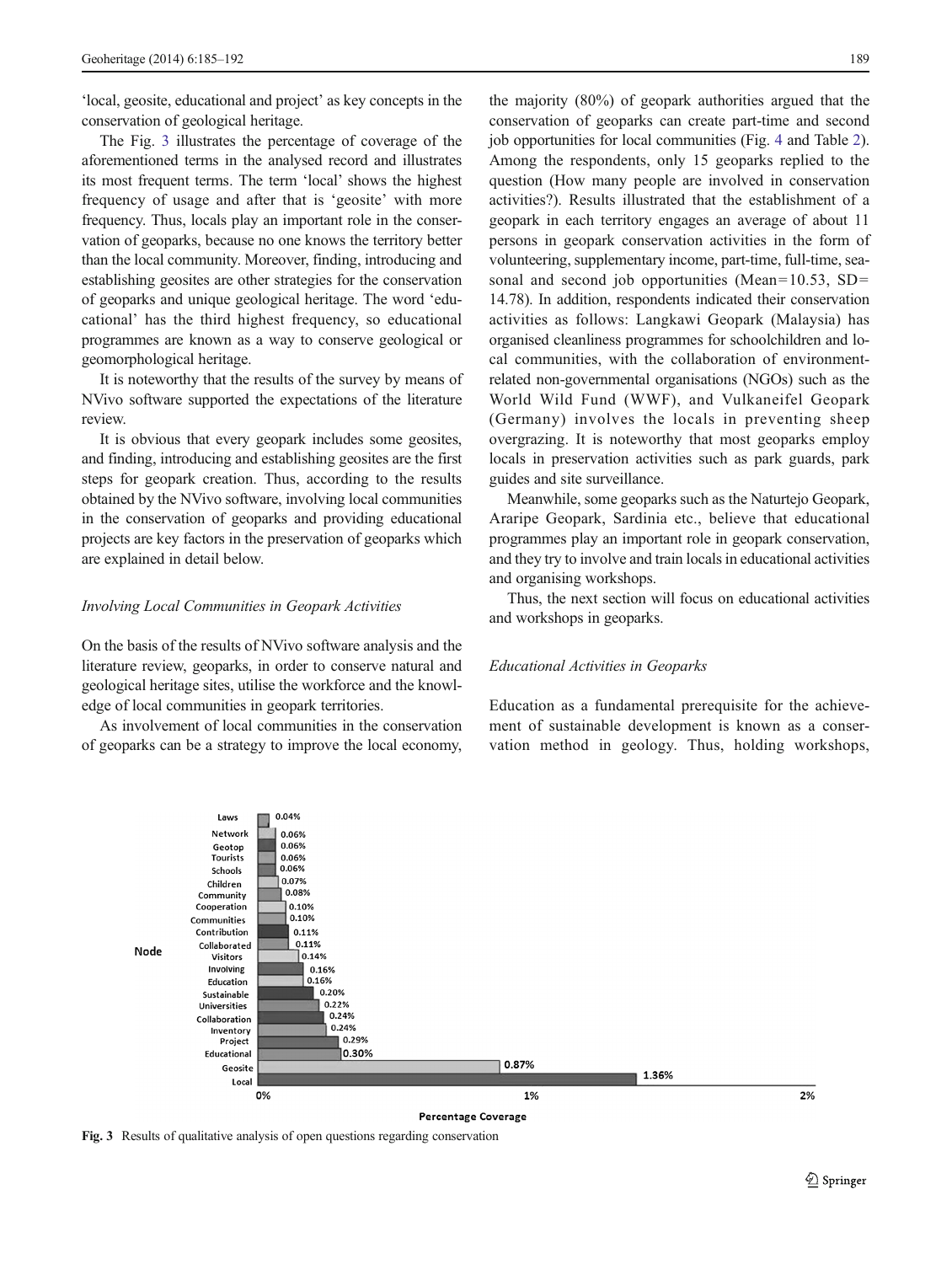'local, geosite, educational and project' as key concepts in the conservation of geological heritage.

The Fig. 3 illustrates the percentage of coverage of the aforementioned terms in the analysed record and illustrates its most frequent terms. The term 'local' shows the highest frequency of usage and after that is 'geosite' with more frequency. Thus, locals play an important role in the conservation of geoparks, because no one knows the territory better than the local community. Moreover, finding, introducing and establishing geosites are other strategies for the conservation of geoparks and unique geological heritage. The word 'educational' has the third highest frequency, so educational programmes are known as a way to conserve geological or geomorphological heritage.

It is noteworthy that the results of the survey by means of NVivo software supported the expectations of the literature review.

It is obvious that every geopark includes some geosites, and finding, introducing and establishing geosites are the first steps for geopark creation. Thus, according to the results obtained by the NVivo software, involving local communities in the conservation of geoparks and providing educational projects are key factors in the preservation of geoparks which are explained in detail below.

### Involving Local Communities in Geopark Activities

On the basis of the results of NVivo software analysis and the literature review, geoparks, in order to conserve natural and geological heritage sites, utilise the workforce and the knowledge of local communities in geopark territories.

As involvement of local communities in the conservation of geoparks can be a strategy to improve the local economy,

the majority (80%) of geopark authorities argued that the conservation of geoparks can create part-time and second job opportunities for local communities (Fig. [4](#page-5-0) and Table [2\)](#page-5-0). Among the respondents, only 15 geoparks replied to the question (How many people are involved in conservation activities?). Results illustrated that the establishment of a geopark in each territory engages an average of about 11 persons in geopark conservation activities in the form of volunteering, supplementary income, part-time, full-time, seasonal and second job opportunities (Mean=10.53, SD= 14.78). In addition, respondents indicated their conservation activities as follows: Langkawi Geopark (Malaysia) has organised cleanliness programmes for schoolchildren and local communities, with the collaboration of environmentrelated non-governmental organisations (NGOs) such as the World Wild Fund (WWF), and Vulkaneifel Geopark (Germany) involves the locals in preventing sheep overgrazing. It is noteworthy that most geoparks employ locals in preservation activities such as park guards, park guides and site surveillance.

Meanwhile, some geoparks such as the Naturtejo Geopark, Araripe Geopark, Sardinia etc., believe that educational programmes play an important role in geopark conservation, and they try to involve and train locals in educational activities and organising workshops.

Thus, the next section will focus on educational activities and workshops in geoparks.

## Educational Activities in Geoparks

Education as a fundamental prerequisite for the achievement of sustainable development is known as a conservation method in geology. Thus, holding workshops,



Fig. 3 Results of qualitative analysis of open questions regarding conservation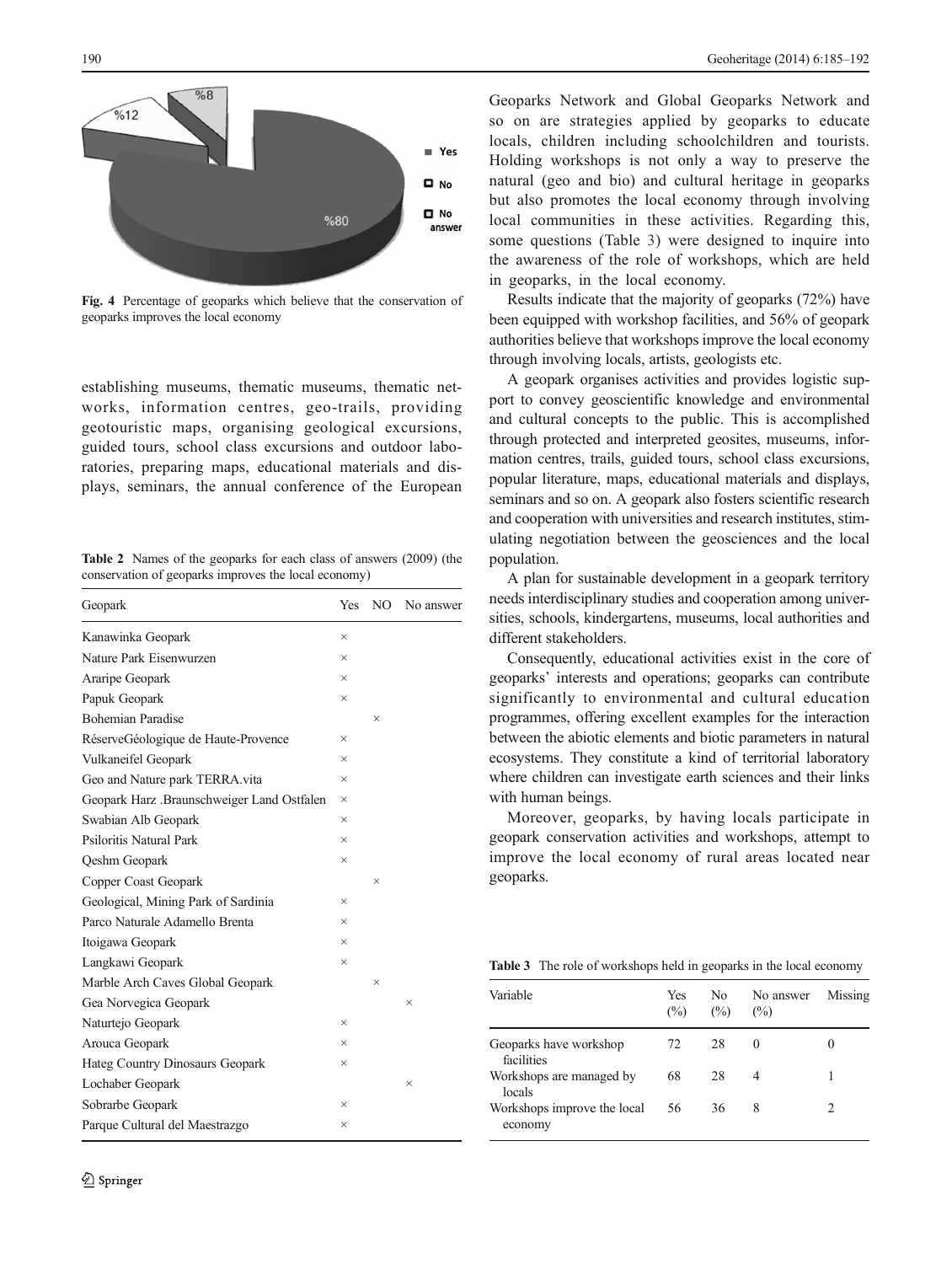<span id="page-5-0"></span>

Fig. 4 Percentage of geoparks which believe that the conservation of geoparks improves the local economy

establishing museums, thematic museums, thematic networks, information centres, geo-trails, providing geotouristic maps, organising geological excursions, guided tours, school class excursions and outdoor laboratories, preparing maps, educational materials and displays, seminars, the annual conference of the European

Table 2 Names of the geoparks for each class of answers (2009) (the conservation of geoparks improves the local economy)

| Geopark                                    | <b>Yes</b> | NO -     | No answer |
|--------------------------------------------|------------|----------|-----------|
| Kanawinka Geopark                          |            |          |           |
| Nature Park Eisenwurzen                    | ×          |          |           |
| Araripe Geopark                            | ×          |          |           |
| Papuk Geopark                              | $\times$   |          |           |
| <b>Bohemian Paradise</b>                   |            | $\times$ |           |
| RéserveGéologique de Haute-Provence        | $\times$   |          |           |
| Vulkaneifel Geopark                        | ×          |          |           |
| Geo and Nature park TERRA.vita             | $\times$   |          |           |
| Geopark Harz .Braunschweiger Land Ostfalen | $\times$   |          |           |
| Swabian Alb Geopark                        | $\times$   |          |           |
| Psiloritis Natural Park                    | $\times$   |          |           |
| Qeshm Geopark                              | $\times$   |          |           |
| Copper Coast Geopark                       |            | $\times$ |           |
| Geological, Mining Park of Sardinia        | $\times$   |          |           |
| Parco Naturale Adamello Brenta             | $\times$   |          |           |
| Itoigawa Geopark                           | ×          |          |           |
| Langkawi Geopark                           | $\times$   |          |           |
| Marble Arch Caves Global Geopark           |            | $\times$ |           |
| Gea Norvegica Geopark                      |            |          | $\times$  |
| Naturtejo Geopark                          | ×          |          |           |
| Arouca Geopark                             | $\times$   |          |           |
| Hateg Country Dinosaurs Geopark            | ×          |          |           |
| Lochaber Geopark                           |            |          | ×         |
| Sobrarbe Geopark                           | $\times$   |          |           |
| Parque Cultural del Maestrazgo             | ×          |          |           |

Geoparks Network and Global Geoparks Network and so on are strategies applied by geoparks to educate locals, children including schoolchildren and tourists. Holding workshops is not only a way to preserve the natural (geo and bio) and cultural heritage in geoparks but also promotes the local economy through involving local communities in these activities. Regarding this, some questions (Table 3) were designed to inquire into the awareness of the role of workshops, which are held in geoparks, in the local economy.

Results indicate that the majority of geoparks (72%) have been equipped with workshop facilities, and 56% of geopark authorities believe that workshops improve the local economy through involving locals, artists, geologists etc.

A geopark organises activities and provides logistic support to convey geoscientific knowledge and environmental and cultural concepts to the public. This is accomplished through protected and interpreted geosites, museums, information centres, trails, guided tours, school class excursions, popular literature, maps, educational materials and displays, seminars and so on. A geopark also fosters scientific research and cooperation with universities and research institutes, stimulating negotiation between the geosciences and the local population.

A plan for sustainable development in a geopark territory needs interdisciplinary studies and cooperation among universities, schools, kindergartens, museums, local authorities and different stakeholders.

Consequently, educational activities exist in the core of geoparks' interests and operations; geoparks can contribute significantly to environmental and cultural education programmes, offering excellent examples for the interaction between the abiotic elements and biotic parameters in natural ecosystems. They constitute a kind of territorial laboratory where children can investigate earth sciences and their links with human beings.

Moreover, geoparks, by having locals participate in geopark conservation activities and workshops, attempt to improve the local economy of rural areas located near geoparks.

| Table 3 The role of workshops held in geoparks in the local economy |  |  |  |  |
|---------------------------------------------------------------------|--|--|--|--|
|---------------------------------------------------------------------|--|--|--|--|

| Variable                               | Yes<br>$\binom{0}{0}$ | N <sub>0</sub><br>(%) | No answer<br>(%) | Missing |
|----------------------------------------|-----------------------|-----------------------|------------------|---------|
| Geoparks have workshop<br>facilities   | 72                    | 28                    | $\theta$         |         |
| Workshops are managed by<br>locals     | 68                    | 28                    | 4                |         |
| Workshops improve the local<br>economy | 56                    | 36                    | 8                |         |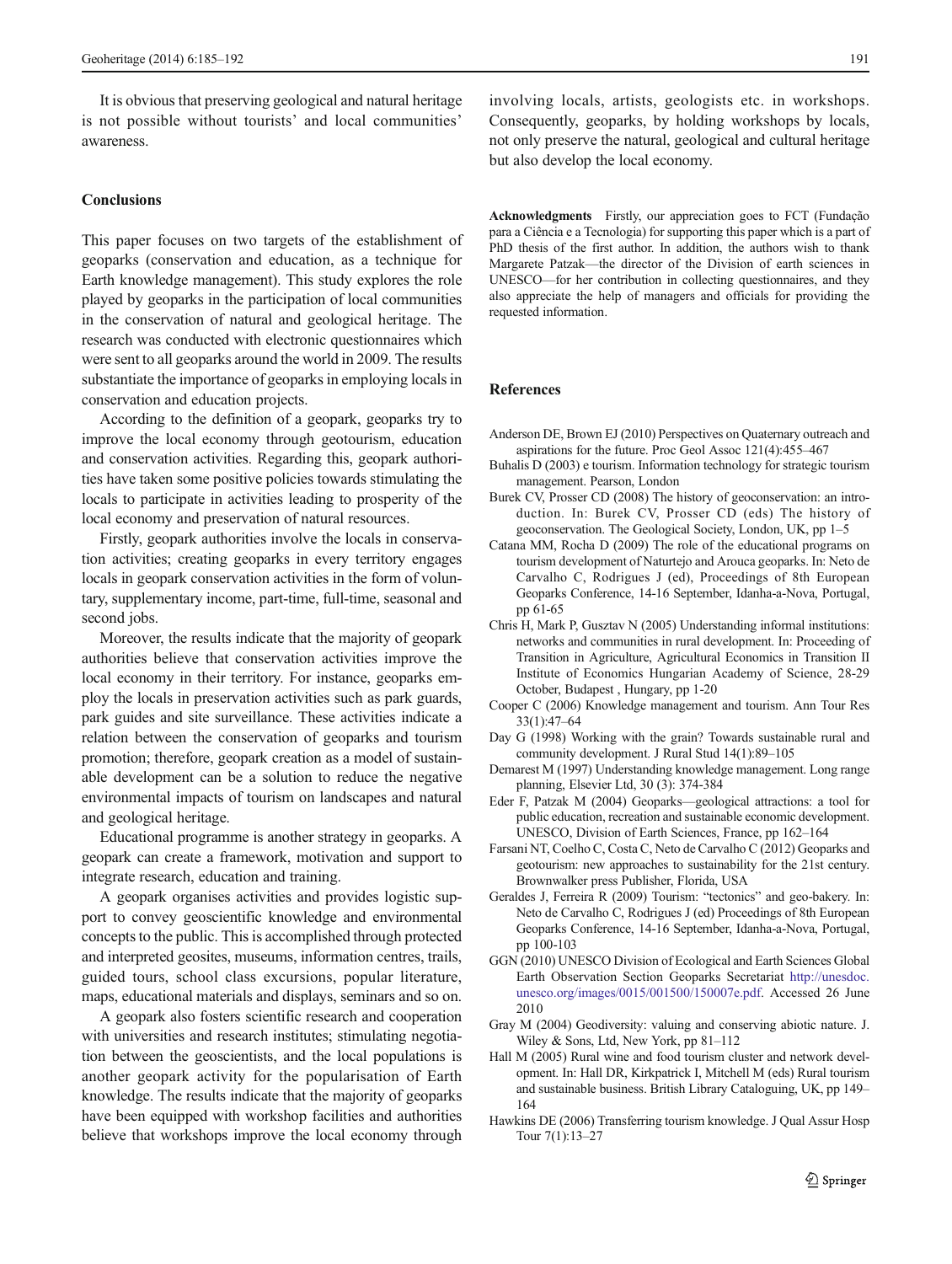<span id="page-6-0"></span>It is obvious that preserving geological and natural heritage is not possible without tourists' and local communities' awareness.

#### **Conclusions**

This paper focuses on two targets of the establishment of geoparks (conservation and education, as a technique for Earth knowledge management). This study explores the role played by geoparks in the participation of local communities in the conservation of natural and geological heritage. The research was conducted with electronic questionnaires which were sent to all geoparks around the world in 2009. The results substantiate the importance of geoparks in employing locals in conservation and education projects.

According to the definition of a geopark, geoparks try to improve the local economy through geotourism, education and conservation activities. Regarding this, geopark authorities have taken some positive policies towards stimulating the locals to participate in activities leading to prosperity of the local economy and preservation of natural resources.

Firstly, geopark authorities involve the locals in conservation activities; creating geoparks in every territory engages locals in geopark conservation activities in the form of voluntary, supplementary income, part-time, full-time, seasonal and second jobs.

Moreover, the results indicate that the majority of geopark authorities believe that conservation activities improve the local economy in their territory. For instance, geoparks employ the locals in preservation activities such as park guards, park guides and site surveillance. These activities indicate a relation between the conservation of geoparks and tourism promotion; therefore, geopark creation as a model of sustainable development can be a solution to reduce the negative environmental impacts of tourism on landscapes and natural and geological heritage.

Educational programme is another strategy in geoparks. A geopark can create a framework, motivation and support to integrate research, education and training.

A geopark organises activities and provides logistic support to convey geoscientific knowledge and environmental concepts to the public. This is accomplished through protected and interpreted geosites, museums, information centres, trails, guided tours, school class excursions, popular literature, maps, educational materials and displays, seminars and so on.

A geopark also fosters scientific research and cooperation with universities and research institutes; stimulating negotiation between the geoscientists, and the local populations is another geopark activity for the popularisation of Earth knowledge. The results indicate that the majority of geoparks have been equipped with workshop facilities and authorities believe that workshops improve the local economy through involving locals, artists, geologists etc. in workshops. Consequently, geoparks, by holding workshops by locals, not only preserve the natural, geological and cultural heritage but also develop the local economy.

Acknowledgments Firstly, our appreciation goes to FCT (Fundação para a Ciência e a Tecnologia) for supporting this paper which is a part of PhD thesis of the first author. In addition, the authors wish to thank Margarete Patzak—the director of the Division of earth sciences in UNESCO—for her contribution in collecting questionnaires, and they also appreciate the help of managers and officials for providing the requested information.

### **References**

- Anderson DE, Brown EJ (2010) Perspectives on Quaternary outreach and aspirations for the future. Proc Geol Assoc 121(4):455–467
- Buhalis D (2003) e tourism. Information technology for strategic tourism management. Pearson, London
- Burek CV, Prosser CD (2008) The history of geoconservation: an introduction. In: Burek CV, Prosser CD (eds) The history of geoconservation. The Geological Society, London, UK, pp 1–5
- Catana MM, Rocha D (2009) The role of the educational programs on tourism development of Naturtejo and Arouca geoparks. In: Neto de Carvalho C, Rodrigues J (ed), Proceedings of 8th European Geoparks Conference, 14-16 September, Idanha-a-Nova, Portugal, pp 61-65
- Chris H, Mark P, Gusztav N (2005) Understanding informal institutions: networks and communities in rural development. In: Proceeding of Transition in Agriculture, Agricultural Economics in Transition II Institute of Economics Hungarian Academy of Science, 28-29 October, Budapest , Hungary, pp 1-20
- Cooper C (2006) Knowledge management and tourism. Ann Tour Res 33(1):47–64
- Day G (1998) Working with the grain? Towards sustainable rural and community development. J Rural Stud 14(1):89–105
- Demarest M (1997) Understanding knowledge management. Long range planning, Elsevier Ltd, 30 (3): 374-384
- Eder F, Patzak M (2004) Geoparks—geological attractions: a tool for public education, recreation and sustainable economic development. UNESCO, Division of Earth Sciences, France, pp 162–164
- Farsani NT, Coelho C, Costa C, Neto de Carvalho C (2012) Geoparks and geotourism: new approaches to sustainability for the 21st century. Brownwalker press Publisher, Florida, USA
- Geraldes J, Ferreira R (2009) Tourism: "tectonics" and geo-bakery. In: Neto de Carvalho C, Rodrigues J (ed) Proceedings of 8th European Geoparks Conference, 14-16 September, Idanha-a-Nova, Portugal, pp 100-103
- GGN (2010) UNESCO Division of Ecological and Earth Sciences Global Earth Observation Section Geoparks Secretariat [http://unesdoc.](http://unesdoc.unesco.org/images/0015/001500/150007e.pdf) [unesco.org/images/0015/001500/150007e.pdf](http://unesdoc.unesco.org/images/0015/001500/150007e.pdf). Accessed 26 June 2010
- Gray M (2004) Geodiversity: valuing and conserving abiotic nature. J. Wiley & Sons, Ltd, New York, pp 81–112
- Hall M (2005) Rural wine and food tourism cluster and network development. In: Hall DR, Kirkpatrick I, Mitchell M (eds) Rural tourism and sustainable business. British Library Cataloguing, UK, pp 149– 164
- Hawkins DE (2006) Transferring tourism knowledge. J Qual Assur Hosp Tour 7(1):13–27